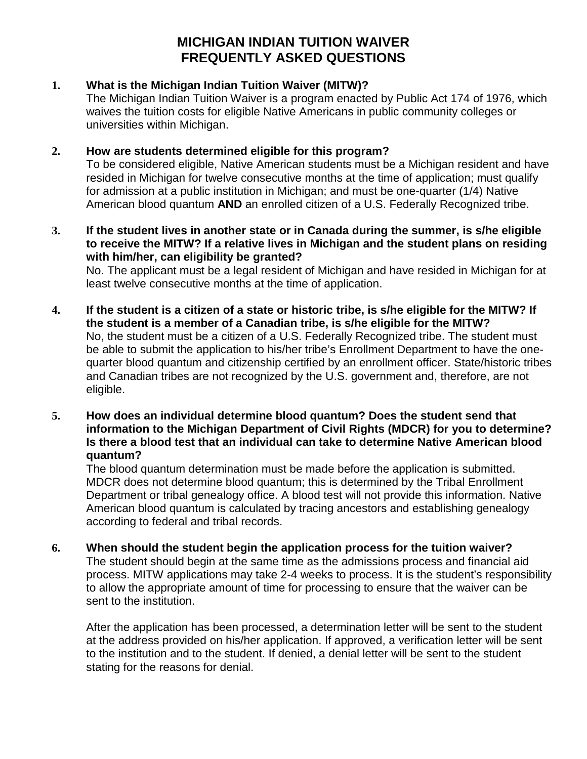# **MICHIGAN INDIAN TUITION WAIVER FREQUENTLY ASKED QUESTIONS**

# **1. What is the Michigan Indian Tuition Waiver (MITW)?**

The Michigan Indian Tuition Waiver is a program enacted by Public Act 174 of 1976, which waives the tuition costs for eligible Native Americans in public community colleges or universities within Michigan.

# **2. How are students determined eligible for this program?**

To be considered eligible, Native American students must be a Michigan resident and have resided in Michigan for twelve consecutive months at the time of application; must qualify for admission at a public institution in Michigan; and must be one-quarter (1/4) Native American blood quantum **AND** an enrolled citizen of a U.S. Federally Recognized tribe.

**3. If the student lives in another state or in Canada during the summer, is s/he eligible to receive the MITW? If a relative lives in Michigan and the student plans on residing with him/her, can eligibility be granted?** 

No. The applicant must be a legal resident of Michigan and have resided in Michigan for at least twelve consecutive months at the time of application.

- **4. If the student is a citizen of a state or historic tribe, is s/he eligible for the MITW? If the student is a member of a Canadian tribe, is s/he eligible for the MITW?** No, the student must be a citizen of a U.S. Federally Recognized tribe. The student must be able to submit the application to his/her tribe's Enrollment Department to have the onequarter blood quantum and citizenship certified by an enrollment officer. State/historic tribes and Canadian tribes are not recognized by the U.S. government and, therefore, are not eligible.
- **5. How does an individual determine blood quantum? Does the student send that information to the Michigan Department of Civil Rights (MDCR) for you to determine? Is there a blood test that an individual can take to determine Native American blood quantum?**

The blood quantum determination must be made before the application is submitted. MDCR does not determine blood quantum; this is determined by the Tribal Enrollment Department or tribal genealogy office. A blood test will not provide this information. Native American blood quantum is calculated by tracing ancestors and establishing genealogy according to federal and tribal records.

**6. When should the student begin the application process for the tuition waiver?** The student should begin at the same time as the admissions process and financial aid process. MITW applications may take 2-4 weeks to process. It is the student's responsibility to allow the appropriate amount of time for processing to ensure that the waiver can be sent to the institution.

After the application has been processed, a determination letter will be sent to the student at the address provided on his/her application. If approved, a verification letter will be sent to the institution and to the student. If denied, a denial letter will be sent to the student stating for the reasons for denial.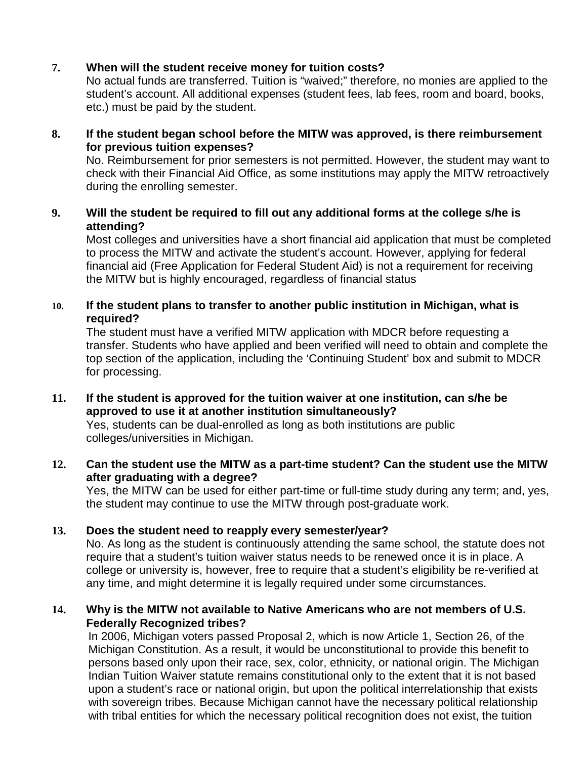### **7. When will the student receive money for tuition costs?**

No actual funds are transferred. Tuition is "waived;" therefore, no monies are applied to the student's account. All additional expenses (student fees, lab fees, room and board, books, etc.) must be paid by the student.

### **8. If the student began school before the MITW was approved, is there reimbursement for previous tuition expenses?**

No. Reimbursement for prior semesters is not permitted. However, the student may want to check with their Financial Aid Office, as some institutions may apply the MITW retroactively during the enrolling semester.

### **9. Will the student be required to fill out any additional forms at the college s/he is attending?**

Most colleges and universities have a short financial aid application that must be completed to process the MITW and activate the student's account. However, applying for federal financial aid (Free Application for Federal Student Aid) is not a requirement for receiving the MITW but is highly encouraged, regardless of financial status

# **10. If the student plans to transfer to another public institution in Michigan, what is required?**

The student must have a verified MITW application with MDCR before requesting a transfer. Students who have applied and been verified will need to obtain and complete the top section of the application, including the 'Continuing Student' box and submit to MDCR for processing.

# **11. If the student is approved for the tuition waiver at one institution, can s/he be approved to use it at another institution simultaneously?**

Yes, students can be dual-enrolled as long as both institutions are public colleges/universities in Michigan.

# **12. Can the student use the MITW as a part-time student? Can the student use the MITW after graduating with a degree?**

Yes, the MITW can be used for either part-time or full-time study during any term; and, yes, the student may continue to use the MITW through post-graduate work.

### **13. Does the student need to reapply every semester/year?**

No. As long as the student is continuously attending the same school, the statute does not require that a student's tuition waiver status needs to be renewed once it is in place. A college or university is, however, free to require that a student's eligibility be re-verified at any time, and might determine it is legally required under some circumstances.

### **14. Why is the MITW not available to Native Americans who are not members of U.S. Federally Recognized tribes?**

In 2006, Michigan voters passed Proposal 2, which is now Article 1, Section 26, of the Michigan Constitution. As a result, it would be unconstitutional to provide this benefit to persons based only upon their race, sex, color, ethnicity, or national origin. The Michigan Indian Tuition Waiver statute remains constitutional only to the extent that it is not based upon a student's race or national origin, but upon the political interrelationship that exists with sovereign tribes. Because Michigan cannot have the necessary political relationship with tribal entities for which the necessary political recognition does not exist, the tuition